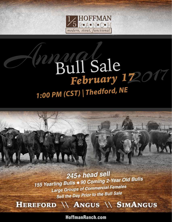

## Bull Sale<br>February 1720 1:00 PM (CST) | Thedford, NE

245+ head sell 155 Yearling Bulls + 90 Coming 2-Year Old Bulls **Large Groups of Commercial Females** Sell the Day Prior to the Bull Sale

HEREFORD \\ ANGUS \\ SIMANGUS

**HoffmanRanch.com**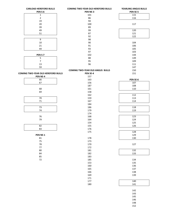| <b>CARLOAD HEREFORD BULLS</b>             | <b>COMING TWO-YEAR OLD HEREFORD BULLS</b> | YEARLING ANGUS BULLS |
|-------------------------------------------|-------------------------------------------|----------------------|
| PEN S-6                                   | PEN NE-3                                  | PEN SE-5             |
| $\mathbf 1$                               | 101                                       | 115                  |
| $\overline{2}$                            | 86                                        | 116                  |
| 19                                        | 94                                        |                      |
| 20                                        | 100                                       | 117                  |
| 39                                        | 89                                        |                      |
| 49                                        | 99                                        | 120                  |
|                                           |                                           |                      |
| 51                                        | 87                                        | 121                  |
|                                           | 92                                        | 122                  |
| $\overline{9}$                            | 98                                        |                      |
| $10\,$                                    | 90                                        | 104                  |
| 21                                        | 91                                        | 106                  |
| 44                                        | 93                                        | 105                  |
|                                           | 97                                        | 103                  |
| PEN S-7                                   | 102                                       | 144                  |
| $\overline{\mathbf{5}}$                   | 88                                        | 149                  |
| $\boldsymbol{7}$                          | 95                                        | 109                  |
|                                           |                                           |                      |
| 13                                        | 96                                        | 111                  |
| 59                                        |                                           | 147                  |
|                                           | <b>COMING TWO-YEAR OLD ANGUS BULLS</b>    | 150                  |
| <b>COMING TWO-YEAR OLD HEREFORD BULLS</b> | PEN SE-4                                  | 151                  |
| PEN NE-4                                  | 157                                       |                      |
| 66                                        | 163                                       | PEN SE-6             |
| 67                                        | 156                                       | 107                  |
|                                           | 187                                       | 108                  |
| 68                                        | 161                                       | 110                  |
| 69                                        | 158                                       |                      |
|                                           | 162                                       | 112                  |
|                                           |                                           |                      |
| 70                                        | 159                                       | 113                  |
| $71\,$                                    | 167                                       | 114                  |
|                                           | 184                                       |                      |
| 73                                        | 186                                       | 118                  |
| 74                                        | 179                                       | 119                  |
|                                           | 174                                       |                      |
| 76                                        | 168                                       | 123                  |
| 79                                        | 164                                       | 124                  |
|                                           | 154                                       | 125                  |
| 82                                        | 155                                       | 126                  |
| 83                                        | 176                                       |                      |
|                                           |                                           |                      |
|                                           | 175                                       | 128                  |
| PEN NE-1                                  |                                           | 129                  |
| 81                                        | 178                                       | 130                  |
| 75                                        | 173                                       |                      |
| ${\bf 78}$                                | 170                                       | 127                  |
| $77\,$                                    | 172                                       |                      |
| $80\,$                                    | 181                                       | 132                  |
| 84                                        | 182                                       | 133                  |
| 85                                        | 183                                       |                      |
| $72\,$                                    | 185                                       | 134                  |
|                                           | 153                                       | 135                  |
|                                           | 160                                       | 136                  |
|                                           |                                           |                      |
|                                           | 165                                       | 137                  |
|                                           | 166                                       | 138                  |
|                                           | 169                                       | 139                  |
|                                           | 171                                       |                      |
|                                           | 177                                       | 140                  |
|                                           | 180                                       | 141                  |
|                                           |                                           |                      |
|                                           |                                           | 142                  |
|                                           |                                           | 143                  |
|                                           |                                           | 145                  |
|                                           |                                           | 146                  |
|                                           |                                           |                      |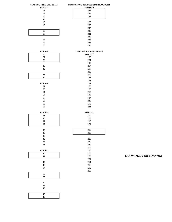| YEARLING HEREFORD BULLS | <b>COMING TWO-YEAR OLD SIMANGUS BULLS</b> |
|-------------------------|-------------------------------------------|
| PEN S-5                 | <b>PEN NE-2</b>                           |
| 11                      | 225                                       |
| 12                      | 226                                       |
| 8                       | 227                                       |
| 6                       |                                           |
|                         |                                           |
| 15                      | 229                                       |
| 18                      | 233                                       |
|                         | 234                                       |
| 16                      | 237                                       |
| 17                      | 231                                       |
|                         | 232                                       |
|                         |                                           |
| 53                      | 236                                       |
| 14                      | 228                                       |
| 3                       | 230                                       |
| PEN S-4                 | YEARLING SIMANGUS BULLS                   |
| 26                      | PEN SE-2                                  |
| 27                      | 190                                       |
|                         |                                           |
| 28                      | 201                                       |
|                         | 199                                       |
| 22                      | 204                                       |
| 25                      | 197                                       |
|                         | 212                                       |
| 23                      | 214                                       |
| 24                      | 188                                       |
|                         |                                           |
|                         | 191                                       |
| PEN S-3                 | 192                                       |
| 57                      | 195                                       |
| 58                      | 198                                       |
| 61                      | 215                                       |
| 62                      | 189                                       |
|                         |                                           |
| 60                      | 194                                       |
| 63                      | 223                                       |
| 65                      | 196                                       |
| 64                      | 221                                       |
| <b>PEN S-2</b>          | PEN SE-1                                  |
| 29                      | 200                                       |
|                         | 205                                       |
| $30\,$                  |                                           |
| 31                      | 216                                       |
| 32                      | 224                                       |
| 34                      | 217                                       |
| 35                      | 218                                       |
| 37                      |                                           |
| 36                      | 219                                       |
|                         |                                           |
| 33                      | 220                                       |
| 38                      | 222                                       |
|                         | 202                                       |
| <b>PEN S-1</b>          | 210                                       |
| 40                      | 206                                       |
| 41                      | 208                                       |
|                         |                                           |
|                         | 207                                       |
| 42                      | 211                                       |
| 43                      | 213                                       |
| 54                      | 193                                       |
| $\overline{55}$         | 209                                       |
| 56                      |                                           |
|                         |                                           |
| 50                      |                                           |
|                         |                                           |
| 52                      |                                           |
| 45                      |                                           |
|                         |                                           |
| 46<br>47                |                                           |

**THANK YOU FOR COMING!**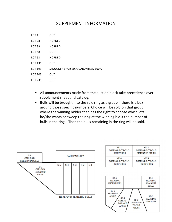## SUPPLEMENT INFORMATION

- LOT 4 OUT
- LOT 28 HORNED
- LOT 39 HORNED
- LOT 48 OUT
- LOT 63 HORNED
- LOT 131 OUT
- LOT 193 SHOULDER BRUISED. GUARUNTEED 100%
- LOT 203 OUT
- LOT 235 OUT
	- All announcements made from the auction block take precedence over supplement sheet and catalog.
	- Bulls will be brought into the sale ring as a group if there is a box around those specific numbers. Choice will be sold on that group, where the winning bidder then has the right to choose which lots he/she wants or sweep the ring at the winning bid X the number of bulls in the ring. Then the bulls remaining in the ring will be sold.



| <b>NE-1</b>      | $NE-2$                |
|------------------|-----------------------|
| COMING-2-YR-OLD  | COMING-2-YR-OLD       |
| <b>HEREFORDS</b> | <b>SIMANGUS BULLS</b> |
| <b>NE-4</b>      | $NE-3$                |
| COMING-2-YR-OLD  | COMING-2-YR-OLD       |
| <b>HEREFORDS</b> | <b>HEREFORDS</b>      |

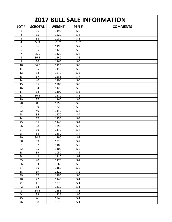| <b>2017 BULL SALE INFORMATION</b> |                |               |                |                 |
|-----------------------------------|----------------|---------------|----------------|-----------------|
| LOT#                              | <b>SCROTAL</b> | <b>WEIGHT</b> | PEN#           | <b>COMMENTS</b> |
| 1                                 | 36             | 1195          | $S-6$          |                 |
| $\overline{2}$                    | 35             | 1220          | $S-6$          |                 |
| 3                                 | 38             | 1080          | $S-5$          |                 |
| 4                                 | OUT            | <b>OUT</b>    | OUT            |                 |
| 5                                 | 36             | 1190          | $S-7$          |                 |
| 6                                 | 35             | 1120          | $S-5$          |                 |
| $\overline{7}$                    | 35.5           | 1120          | $S-7$          |                 |
| 8                                 | 36.5           | 1140          | $S-5$          |                 |
| 9                                 | 36             | 1165          | $S-6$          |                 |
| 10                                | 36.5           | 1125          | $S-6$          |                 |
| 11                                | 35             | 1110          | $S-5$          |                 |
| 12                                | 38             | 1270          | $S-5$          |                 |
| 13                                | 37             | 1285          | $S-7$          |                 |
| 14                                | 40             | 1100          | $S-5$          |                 |
| 15                                | 35             | 1205          | $S-5$          |                 |
| 16                                | 34             | 1120          | $S-5$          |                 |
| 17                                | 38             | 1100          | $S-5$          |                 |
| 18                                | 36.5           | 1170          | $S-5$          |                 |
| 19                                | 37             | 1160          | $S-6$          |                 |
| 20                                | 38.5           | 1250          | $S-6$          |                 |
| 21                                | 39             | 1225          | $S-6$          |                 |
| 22                                | 40             | 1140          | $S-4$          |                 |
| 23                                | 35             | 1270          | $S-4$          |                 |
| 24                                | 37             | 1155          | $S-4$          |                 |
| 25                                | 35             | 1140          | $S-4$          |                 |
| 26                                | 38             | 1350          | $S-4$          |                 |
| 27                                | 36             | 1170          | $S-4$          |                 |
| 28                                | 38             | 1180          | $S-4$          |                 |
| 29                                | 34.5           | 1290          | $S-2$          |                 |
| 30                                | 39             | 1320          | $S-2$          |                 |
| 31                                | 37             | 1180          | $S-2$          |                 |
| 32                                | 35             | 1100          | $S-2$          |                 |
| 33                                | 39             | 1050          | $S-2$          |                 |
| 34                                | 42             | 1110          | $S-2$          |                 |
| 35                                | 40             | 1170          | $S-2$          |                 |
| 36                                | 34             | 1060          | $S-2$          |                 |
| 37                                | 36             | 1160          | $S-2$          |                 |
| 38                                | 39             | 1110          | $S-2$          |                 |
| 39                                | 37             | 1190          | $S-6$          |                 |
| 40                                | 42             | 1140          | $S-1$          |                 |
| 41                                | 41             | 1275          | $S-1$          |                 |
| 42                                | 34             | 1310          | $S-1$          |                 |
| 43<br>44                          | 34.5<br>38     | 1155<br>1225  | $S-1$<br>$S-6$ |                 |
| 45                                | 36.5           | 1240          | $S-1$          |                 |
| 46                                | 38             | 1070          | $S-1$          |                 |
|                                   |                |               |                |                 |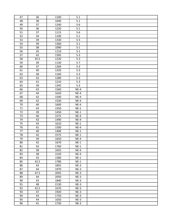| 47 | 36   | 1100 | $S-1$  |  |
|----|------|------|--------|--|
| 48 | 38   | 1040 | $S-1$  |  |
| 49 | 37   | 1240 | $S-6$  |  |
| 50 | 36   | 1220 | $S-1$  |  |
| 51 | 37   | 1115 | $S-6$  |  |
| 52 | 34   | 1100 | $S-1$  |  |
| 53 | 39   | 1330 | $S-5$  |  |
| 54 | 39   | 1360 | $S-1$  |  |
| 55 | 38   | 1090 | $S-1$  |  |
| 56 | 35   | 1110 | $S-1$  |  |
| 57 | 42   | 1395 | $S-3$  |  |
| 58 | 35.5 | 1220 | $S-3$  |  |
| 59 | 39   | 1130 | $S-7$  |  |
| 60 | 37   | 1260 | $S-3$  |  |
| 61 | 40   | 1320 | $S-3$  |  |
| 62 | 38   | 1160 | $S-3$  |  |
| 63 | 42   | 1280 | $S-3$  |  |
| 64 | 41   | 1210 | $S-3$  |  |
| 65 | 39   | 1345 | $S-3$  |  |
| 66 | 43   | 1560 | $NE-4$ |  |
| 67 | 44   | 1620 | $NE-4$ |  |
| 68 | 42   | 1500 | $NE-4$ |  |
| 69 | 42   | 1530 | $NE-4$ |  |
| 70 | 40   | 1600 | $NE-4$ |  |
| 71 | 43   | 1550 | $NE-1$ |  |
| 72 | 39   | 1450 | $NE-1$ |  |
| 73 | 40   | 1575 | $NE-4$ |  |
| 74 | 42   | 1490 | $NE-4$ |  |
| 75 | 43   | 1610 | $NE-1$ |  |
| 76 | 41   | 1500 | $NE-4$ |  |
| 77 | 40   | 1400 | $NE-1$ |  |
| 78 | 42   | 1575 | $NE-1$ |  |
| 79 | 39   | 1650 | $NE-4$ |  |
| 80 | 42   | 1670 | $NE-1$ |  |
| 81 | 43   | 1760 | $NE-1$ |  |
| 82 | 38   | 1655 | $NE-4$ |  |
| 83 | 38   | 1520 | $NE-4$ |  |
| 84 | 43   | 1580 | $NE-1$ |  |
| 85 | 42.5 | 1780 | $NE-1$ |  |
| 86 | 43   | 1855 | $NE-3$ |  |
| 87 | 44   | 1970 | $NE-3$ |  |
| 88 | 47.5 | 2045 | $NE-3$ |  |
| 89 | 44   | 2050 | $NE-3$ |  |
| 90 | 43   | 1840 | $NE-3$ |  |
| 91 | 48   | 2130 | $NE-3$ |  |
| 92 | 42.5 | 1670 | $NE-3$ |  |
| 93 | 47   | 1920 | $NE-3$ |  |
| 94 | 43   | 1750 | $NE-3$ |  |
| 95 | 44   | 1650 | $NE-3$ |  |
| 96 | 41   | 1720 | $NE-3$ |  |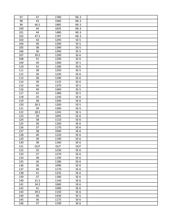| 97         | 47         | 1780         | $NE-3$           |  |
|------------|------------|--------------|------------------|--|
| 98         | 43         | 1960         | $NE-3$           |  |
| 99         | 46.5       | 1885         | $NE-3$           |  |
| 100        | 44         | 1835         | $NE-3$           |  |
| 101        | 44         | 1480         | $NE-3$           |  |
| 102        | 47.5       | 1787         | $NE-3$           |  |
| 103        | 43         | 1295         | $SE-5$           |  |
| 104        | 40         | 1290         | $SE-5$           |  |
| 105        | 38         | 1390         | $SE-5$           |  |
| 106        | 36         | 1390         | $SE-5$           |  |
| 107        | 39.5       | 1290         | $SE-6$           |  |
| 108        | 41         | 1200         | $SE-6$           |  |
| 109        | 39         | 1300         | $SE-5$           |  |
| 110        | 42         | 1180         | $SE-6$           |  |
| 111        | 38         | 1250         | $SE-5$           |  |
| 112        | 36         | 1230         | $SE-6$           |  |
| 113        | 38         | 1290         | $SE-6$           |  |
| 114        | 39         | 1125         | $SE-6$           |  |
| 115        | 40         | 1370         | $SE-5$           |  |
| 116        | 40         | 1460         | $SE-5$           |  |
| 117        | 42         | 1380         | $SE-5$           |  |
| 118        | 35         | 1230         | $SE-6$           |  |
| 119        | 38         | 1300         | $SE-6$           |  |
| 120        | 36.5       | 1200         | $SE-5$           |  |
| 121        | 39         | 1260         | $SE-5$           |  |
| 122        | 38.5       | 1245         | $SE-5$           |  |
| 123        | 39         | 1095         | $SE-6$           |  |
| 124        | 38         | 1110         | $SE-6$           |  |
| 125        | 36         | 1160         | $SE-6$           |  |
| 126        | 37         | 1170         | $SE-6$           |  |
| 127        | 38         | 1040         | $SE-6$           |  |
| 128        | 40         | 1220         | $SE-6$           |  |
| 129        | 39         | 1190         | $SE-6$           |  |
| 130        | 38         | 1160         | $SE-6$           |  |
| 131        | <b>OUT</b> | OUT          | <b>OUT</b>       |  |
| 132        | 35         | 1230         | $SE-6$           |  |
| 133        | 37         | 1270         | $SE-6$           |  |
| 134        | 38         | 1190         | $SE-6$           |  |
| 135        | 36         | 1180         | $SE-6$           |  |
| 136        | 36         | 1090         | $SE-6$           |  |
| 137        | 40         | 1170         | $SE-6$           |  |
| 138        | 41         | 1235         | $SE-6$           |  |
| 139        | 37         | 1180         | $SE-6$           |  |
| 140        | 31.5       | 1140         | $SE-6$           |  |
| 141        | 34.5       | 1060         | $SE-6$           |  |
| 142        | 41         | 1090         | $SE-6$           |  |
| 143        | 39.5       | 1150         | $SE-6$           |  |
|            |            |              |                  |  |
| 144        | 40         | 1430         | $SE-5$           |  |
| 145<br>146 | 36<br>37   | 1175<br>1190 | $SE-6$<br>$SE-6$ |  |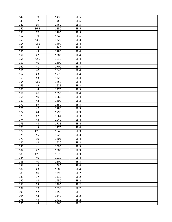| 147        | 39       | 1435         | $SE-5$           |  |
|------------|----------|--------------|------------------|--|
| 148        | 32       | 980          | $SE-6$           |  |
| 149        | 39       | 1460         | $SE-5$           |  |
| 150        | 36.5     | 1350         | $SE-5$           |  |
| 151        | 37       | 1290         | $SE-5$           |  |
| 152        | 39       | 1240         | $SE-6$           |  |
| 153        | 43.5     | 1725         | $SE-3$           |  |
| 154        | 43.5     | 1890         | $SE-4$           |  |
| 155        | 44       | 1840         | $SE-4$           |  |
| 156        | 43       | 1780         | $SE-4$           |  |
| 157        | 42       | 1800         | $SE-4$           |  |
| 158        | 42.5     | 1610         | $SE-4$           |  |
| 159        | 40       | 1800         | $SE-4$           |  |
| 160        | 41       | 1700         | $SE-3$           |  |
| 161        | 40       | 1640         | $SE-4$           |  |
| 162        | 43       | 1770         | $SE-4$           |  |
| 163        | 43       | 1725         | $SE-4$           |  |
| 164        | 43.5     | 1850         | $SE-4$           |  |
| 165        | 42       | 1625         | $SE-3$           |  |
| 166        | 44       | 1870         | $SE-3$           |  |
| 167        | 46       | 1850         | $SE-4$           |  |
| 168        | 40       | 1660         | $SE-4$           |  |
| 169        | 43       | 1600         | $SE-3$           |  |
| 170        | 39       | 1550         | $SE-3$           |  |
| 171        | 42       | 1780         | $SE-3$           |  |
| 172        | 44       | 1795         | $SE-3$           |  |
| 173        | 42       | 1664         | $SE-3$           |  |
| 174        | 43       | 2040         | $SE-4$           |  |
| 175        | 43       | 1785         | $SE-4$           |  |
| 176        | 43       | 1970         | $SE-4$           |  |
| 177        | 42.5     | 1640         | $SE-3$           |  |
| 178        |          |              |                  |  |
| 179        | 45       | 1920         | $SE-3$           |  |
|            | 39       | 1805         | $SE-4$           |  |
| 180        | 43       | 1420         | $SE-3$           |  |
| 181        | 41       | 1695         | $SE-3$           |  |
| 182        | 42       | 1500         | $SE-3$           |  |
| 183        | 42.5     | 1870         | $SE-3$           |  |
| 184        | 40       | 1910         | $SE-4$           |  |
| 185        | 40       | 1600         | $SE-3$           |  |
| 186        | 43       | 1680         | $SE-4$           |  |
| 187        | 43       | 1800         | $SE-4$           |  |
| 188        | 40       | 1390         | $SE-2$           |  |
| 189        | 37       | 1310         | $SE-2$           |  |
| 190        | 43       | 1450         | $SE-2$           |  |
| 191        | 38       | 1390         | $SE-2$           |  |
| 192        | 39       | 1530         | $SE-2$           |  |
| 193        | 42       | 1350         | $SE-1$           |  |
| 194        | 43       | 1340         | $SE-2$           |  |
| 195<br>196 | 43<br>43 | 1420<br>1360 | $SE-2$<br>$SE-2$ |  |